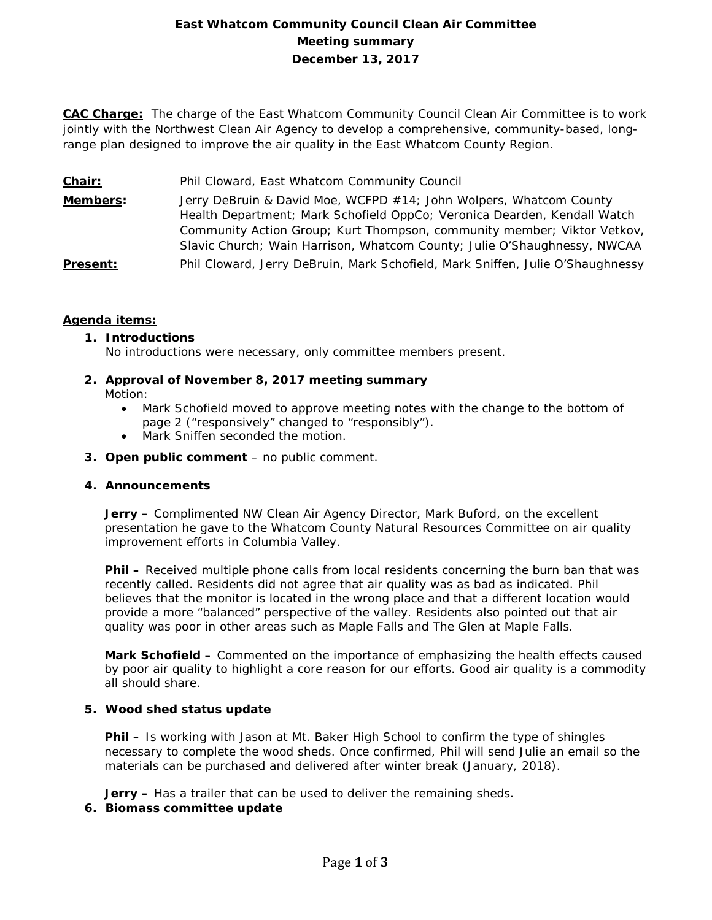## **East Whatcom Community Council Clean Air Committee Meeting summary December 13, 2017**

**CAC Charge:** The charge of the East Whatcom Community Council Clean Air Committee is to work jointly with the Northwest Clean Air Agency to develop a comprehensive, community-based, longrange plan designed to improve the air quality in the East Whatcom County Region.

- **Chair:** Phil Cloward, East Whatcom Community Council
- **Members:** Jerry DeBruin & David Moe, WCFPD #14; John Wolpers, Whatcom County Health Department; Mark Schofield OppCo; Veronica Dearden, Kendall Watch Community Action Group; Kurt Thompson, community member; Viktor Vetkov, Slavic Church; Wain Harrison, Whatcom County; Julie O'Shaughnessy, NWCAA **Present:** Phil Cloward, Jerry DeBruin, Mark Schofield, Mark Sniffen, Julie O'Shaughnessy

## **Agenda items:**

## **1. Introductions**

No introductions were necessary, only committee members present.

# **2. Approval of November 8, 2017 meeting summary**

Motion:

- Mark Schofield moved to approve meeting notes with the change to the bottom of page 2 ("responsively" changed to "responsibly").
- Mark Sniffen seconded the motion.
- **3. Open public comment**  no public comment.

## **4. Announcements**

**Jerry –** Complimented NW Clean Air Agency Director, Mark Buford, on the excellent presentation he gave to the Whatcom County Natural Resources Committee on air quality improvement efforts in Columbia Valley.

**Phil –** Received multiple phone calls from local residents concerning the burn ban that was recently called. Residents did not agree that air quality was as bad as indicated. Phil believes that the monitor is located in the wrong place and that a different location would provide a more "balanced" perspective of the valley. Residents also pointed out that air quality was poor in other areas such as Maple Falls and The Glen at Maple Falls.

**Mark Schofield –** Commented on the importance of emphasizing the health effects caused by poor air quality to highlight a core reason for our efforts. Good air quality is a commodity all should share.

#### **5. Wood shed status update**

**Phil –** Is working with Jason at Mt. Baker High School to confirm the type of shingles necessary to complete the wood sheds. Once confirmed, Phil will send Julie an email so the materials can be purchased and delivered after winter break (January, 2018).

**Jerry –** Has a trailer that can be used to deliver the remaining sheds.

## **6. Biomass committee update**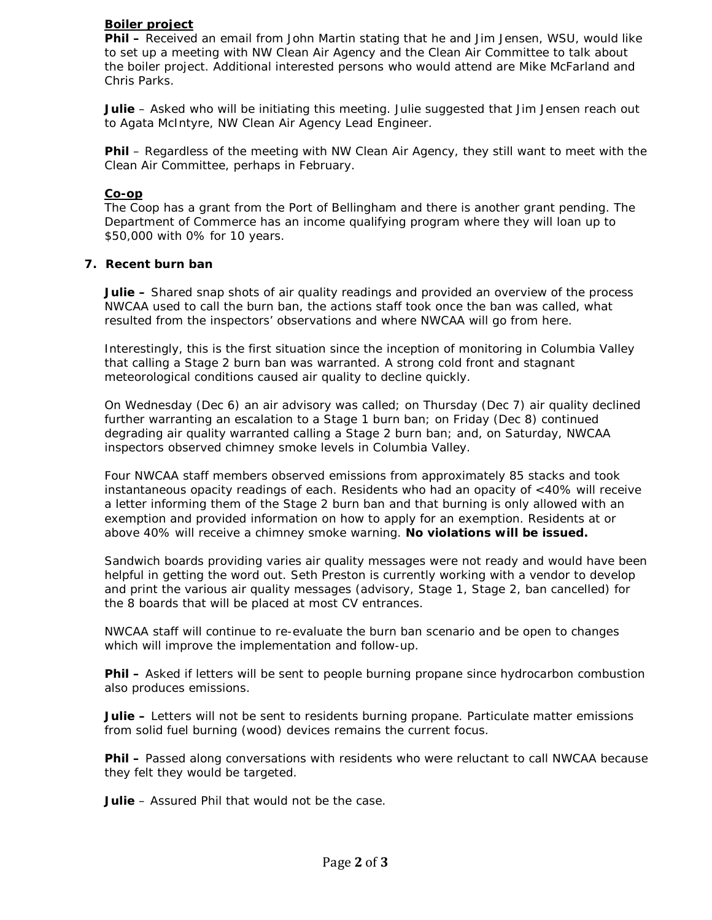#### **Boiler project**

**Phil –** Received an email from John Martin stating that he and Jim Jensen, WSU, would like to set up a meeting with NW Clean Air Agency and the Clean Air Committee to talk about the boiler project. Additional interested persons who would attend are Mike McFarland and Chris Parks.

Julie - Asked who will be initiating this meeting. Julie suggested that Jim Jensen reach out to Agata McIntyre, NW Clean Air Agency Lead Engineer.

**Phil** – Regardless of the meeting with NW Clean Air Agency, they still want to meet with the Clean Air Committee, perhaps in February.

#### **Co-op**

The Coop has a grant from the Port of Bellingham and there is another grant pending. The Department of Commerce has an income qualifying program where they will loan up to \$50,000 with 0% for 10 years.

#### **7. Recent burn ban**

**Julie –** Shared snap shots of air quality readings and provided an overview of the process NWCAA used to call the burn ban, the actions staff took once the ban was called, what resulted from the inspectors' observations and where NWCAA will go from here.

Interestingly, this is the first situation since the inception of monitoring in Columbia Valley that calling a Stage 2 burn ban was warranted. A strong cold front and stagnant meteorological conditions caused air quality to decline quickly.

On Wednesday (Dec 6) an air advisory was called; on Thursday (Dec 7) air quality declined further warranting an escalation to a Stage 1 burn ban; on Friday (Dec 8) continued degrading air quality warranted calling a Stage 2 burn ban; and, on Saturday, NWCAA inspectors observed chimney smoke levels in Columbia Valley.

Four NWCAA staff members observed emissions from approximately 85 stacks and took instantaneous opacity readings of each. Residents who had an opacity of <40% will receive a letter informing them of the Stage 2 burn ban and that burning is only allowed with an exemption and provided information on how to apply for an exemption. Residents at or above 40% will receive a chimney smoke warning. **No violations will be issued.** 

Sandwich boards providing varies air quality messages were not ready and would have been helpful in getting the word out. Seth Preston is currently working with a vendor to develop and print the various air quality messages (advisory, Stage 1, Stage 2, ban cancelled) for the 8 boards that will be placed at most CV entrances.

NWCAA staff will continue to re-evaluate the burn ban scenario and be open to changes which will improve the implementation and follow-up.

**Phil –** Asked if letters will be sent to people burning propane since hydrocarbon combustion also produces emissions.

**Julie –** Letters will not be sent to residents burning propane. Particulate matter emissions from solid fuel burning (wood) devices remains the current focus.

**Phil –** Passed along conversations with residents who were reluctant to call NWCAA because they felt they would be targeted.

**Julie** – Assured Phil that would not be the case.